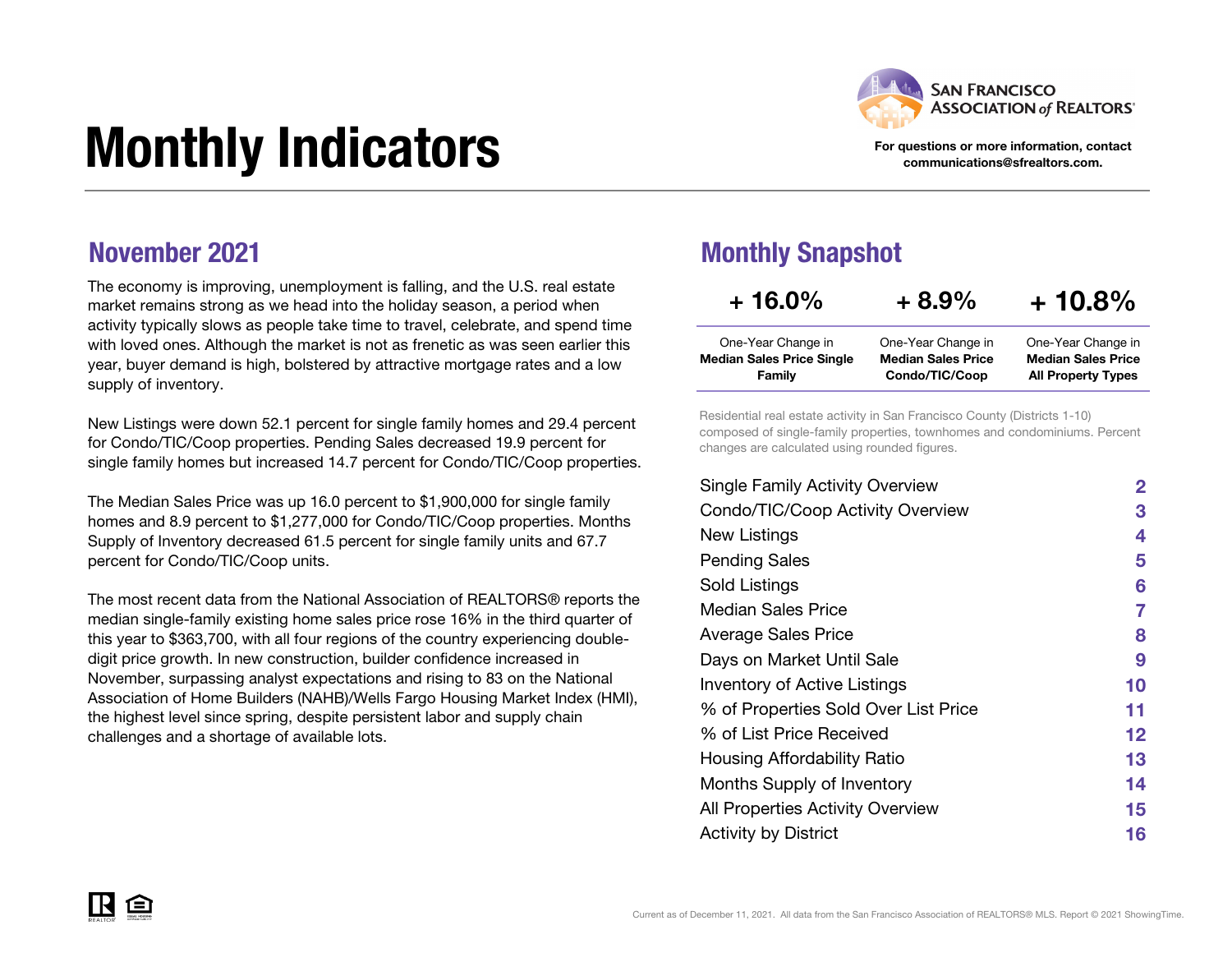

For questions or more information, contact communications@sfrealtors.com.

All Property Types

# Monthly Indicators

### November 2021

The economy is improving, unemployment is falling, and the U.S. real estate market remains strong as we head into the holiday season, a period when activity typically slows as people take time to travel, celebrate, and spend time with loved ones. Although the market is not as frenetic as was seen earlier this year, buyer demand is high, bolstered by attractive mortgage rates and a low supply of inventory.

New Listings were down 52.1 percent for single family homes and 29.4 percent for Condo/TIC/Coop properties. Pending Sales decreased 19.9 percent for single family homes but increased 14.7 percent for Condo/TIC/Coop properties.

The Median Sales Price was up 16.0 percent to \$1,900,000 for single family homes and 8.9 percent to \$1,277,000 for Condo/TIC/Coop properties. Months Supply of Inventory decreased 61.5 percent for single family units and 67.7 percent for Condo/TIC/Coop units.

The most recent data from the National Association of REALTORS® reports the median single-family existing home sales price rose 16% in the third quarter of this year to \$363,700, with all four regions of the country experiencing doubledigit price growth. In new construction, builder confidence increased in November, surpassing analyst expectations and rising to 83 on the National Association of Home Builders (NAHB)/Wells Fargo Housing Market Index (HMI), the highest level since spring, despite persistent labor and supply chain challenges and a shortage of available lots.

### Monthly Snapshot

Family

| $+16.0\%$                        | $+8.9%$                   | $+10.8%$                  |
|----------------------------------|---------------------------|---------------------------|
| One-Year Change in               | One-Year Change in        | One-Year Change in        |
| <b>Median Sales Price Single</b> | <b>Median Sales Price</b> | <b>Median Sales Price</b> |

Residential real estate activity in San Francisco County (Districts 1-10) composed of single-family properties, townhomes and condominiums. Percent changes are calculated using rounded figures.

Condo/TIC/Coop

| <b>Single Family Activity Overview</b> | 2  |
|----------------------------------------|----|
| Condo/TIC/Coop Activity Overview       | 3  |
| New Listings                           | 4  |
| <b>Pending Sales</b>                   | 5  |
| Sold Listings                          | 6  |
| Median Sales Price                     | 7  |
| Average Sales Price                    | 8  |
| Days on Market Until Sale              | 9  |
| Inventory of Active Listings           | 10 |
| % of Properties Sold Over List Price   | 11 |
| % of List Price Received               | 12 |
| Housing Affordability Ratio            | 13 |
| Months Supply of Inventory             | 14 |
| All Properties Activity Overview       | 15 |
| <b>Activity by District</b>            | 16 |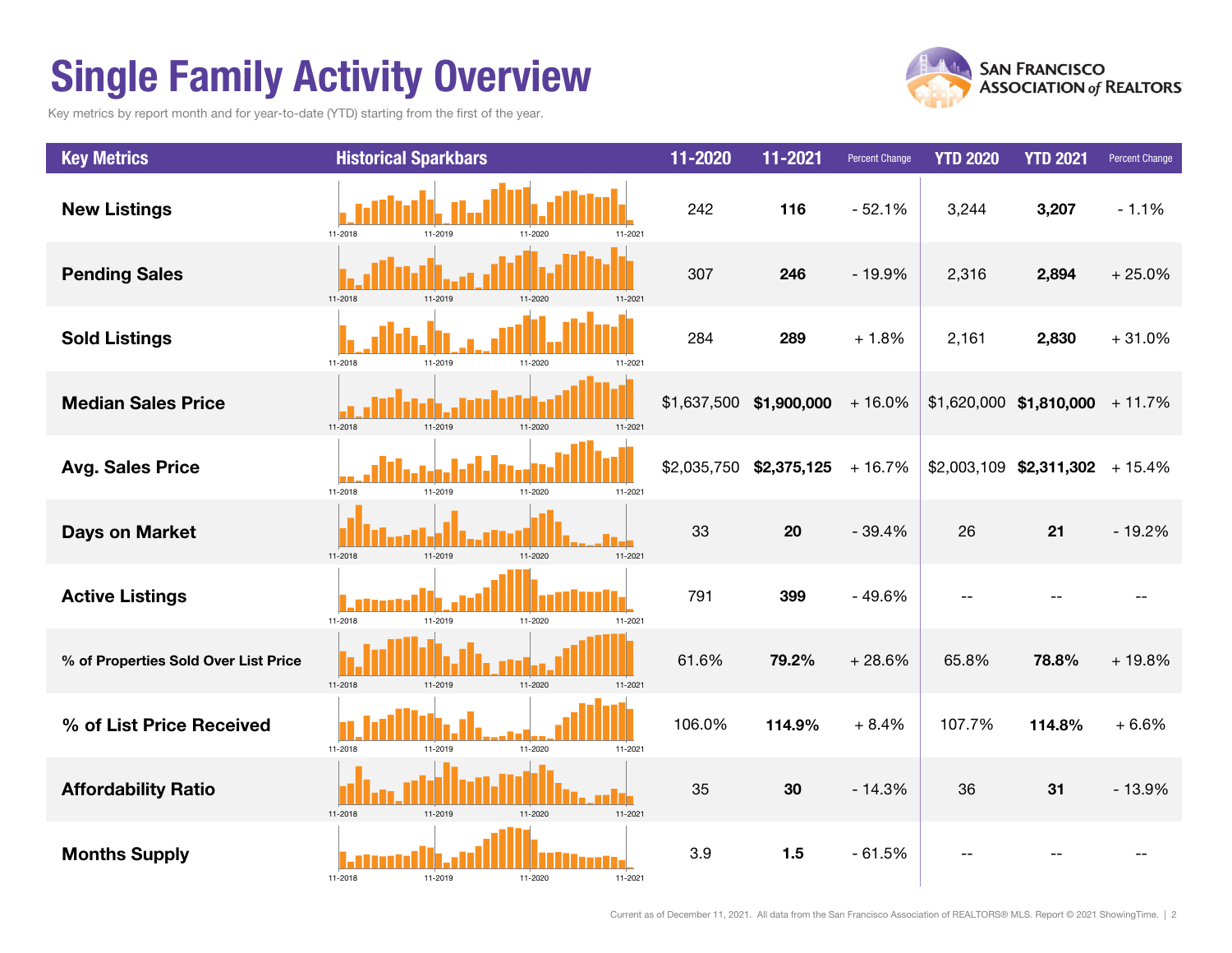### Single Family Activity Overview

Key metrics by report month and for year-to-date (YTD) starting from the first of the year.



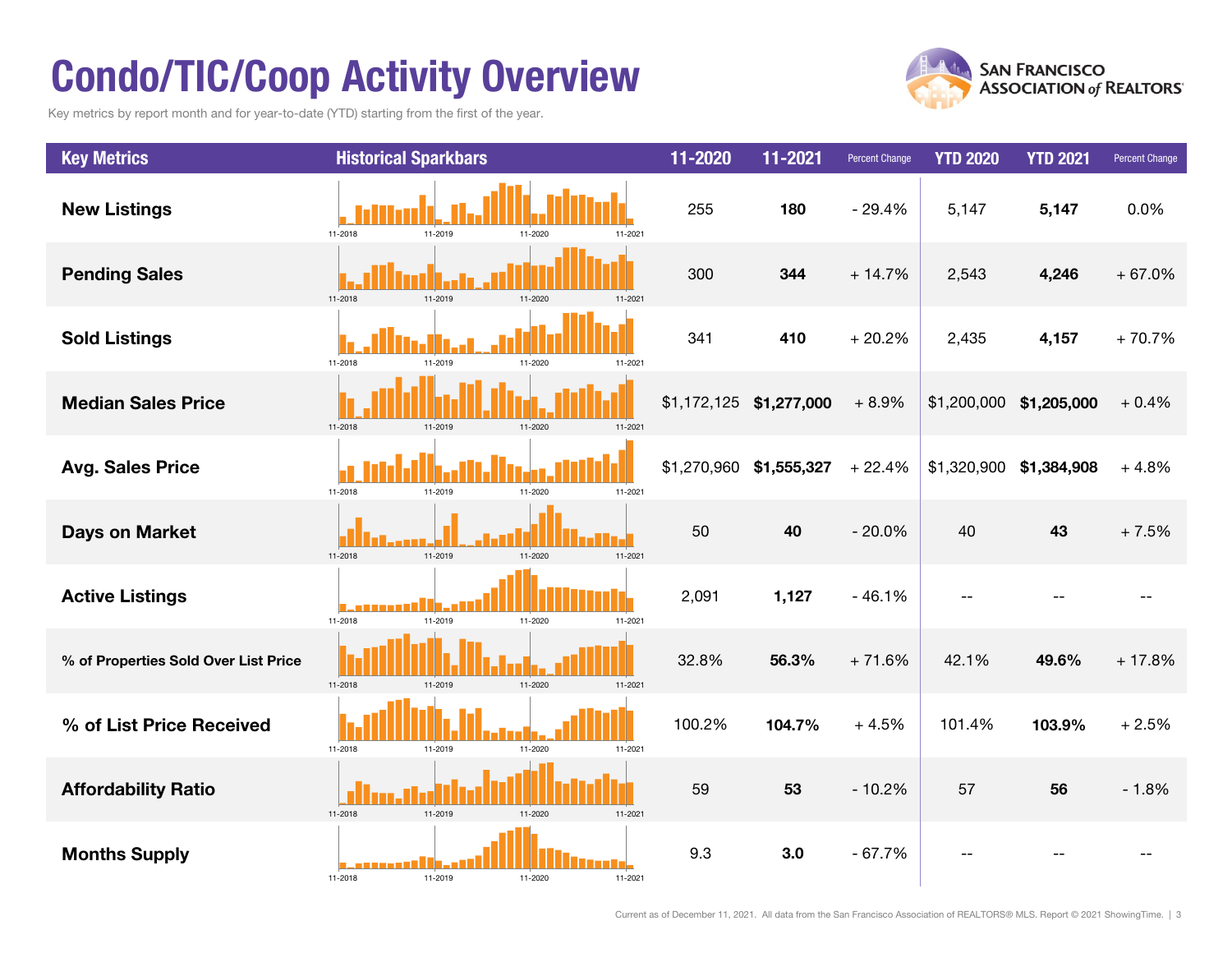### Condo/TIC/Coop Activity Overview

Key metrics by report month and for year-to-date (YTD) starting from the first of the year.



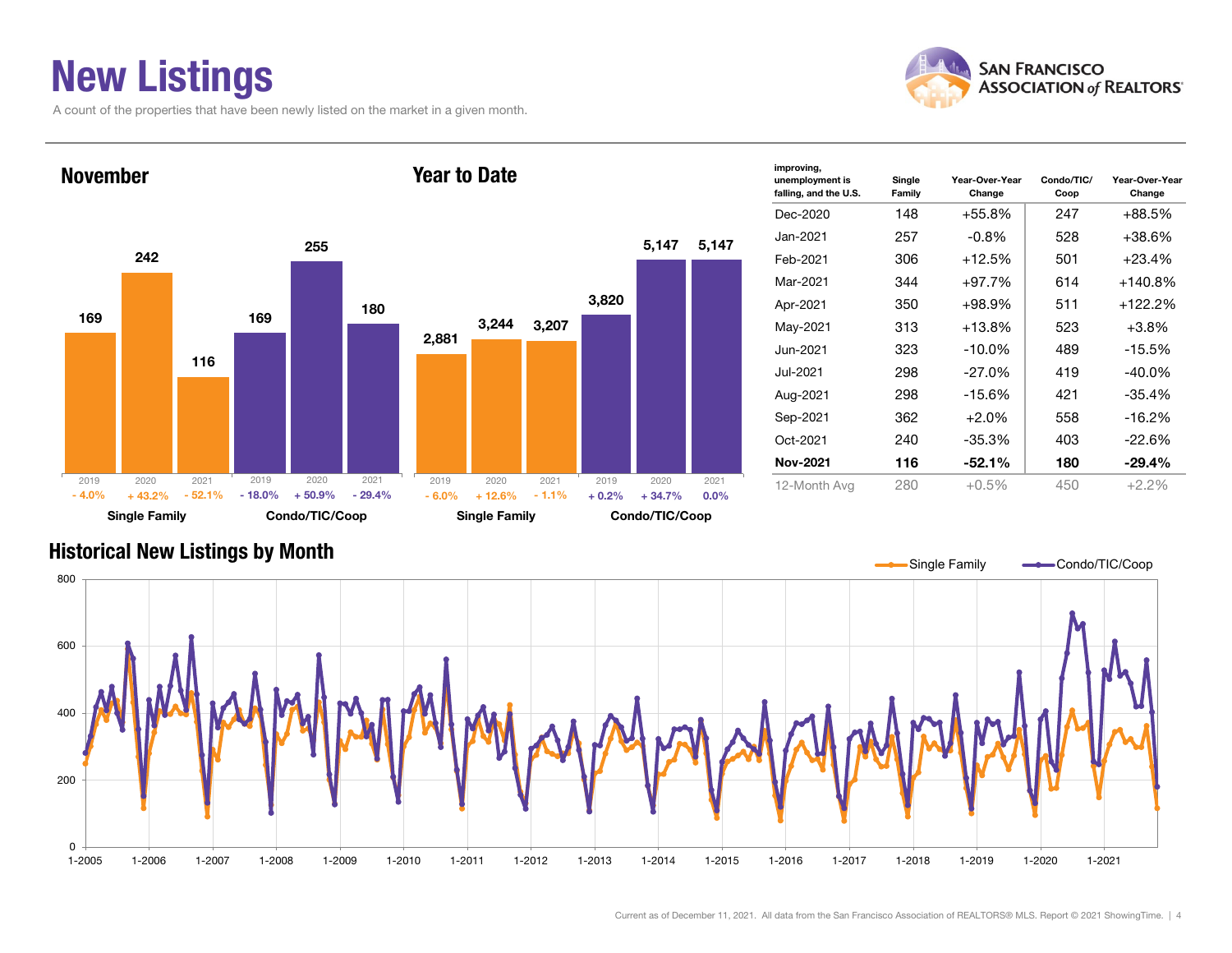### New Listings

A count of the properties that have been newly listed on the market in a given month.





| improving,<br>unemployment is<br>falling, and the U.S. | Single<br>Family | Year-Over-Year<br>Change | Condo/TIC/<br>Coop | Year-Over-Year<br>Change |
|--------------------------------------------------------|------------------|--------------------------|--------------------|--------------------------|
| Dec-2020                                               | 148              | +55.8%                   | 247                | +88.5%                   |
| Jan-2021.                                              | 257              | $-0.8\%$                 | 528                | $+38.6%$                 |
| Feb-2021                                               | 306              | $+12.5%$                 | 501                | $+23.4%$                 |
| Mar-2021                                               | 344              | $+97.7%$                 | 614                | $+140.8%$                |
| Apr-2021                                               | 350              | $+98.9%$                 | 511                | +122.2%                  |
| May-2021                                               | 313              | $+13.8%$                 | 523                | $+3.8%$                  |
| Jun-2021                                               | 323              | -10.0%                   | 489                | $-15.5%$                 |
| Jul-2021.                                              | 298              | -27.0%                   | 419                | $-40.0\%$                |
| Aug-2021                                               | 298              | -15.6%                   | 421                | $-35.4%$                 |
| Sep-2021                                               | 362              | $+2.0\%$                 | 558                | $-16.2%$                 |
| Oct-2021                                               | 240              | -35.3%                   | 403                | $-22.6%$                 |
| Nov-2021                                               | 116              | $-52.1%$                 | 180                | $-29.4%$                 |
| 12-Month Avg                                           | 280              | $+0.5%$                  | 450                | $+2.2%$                  |

#### Historical New Listings by Month

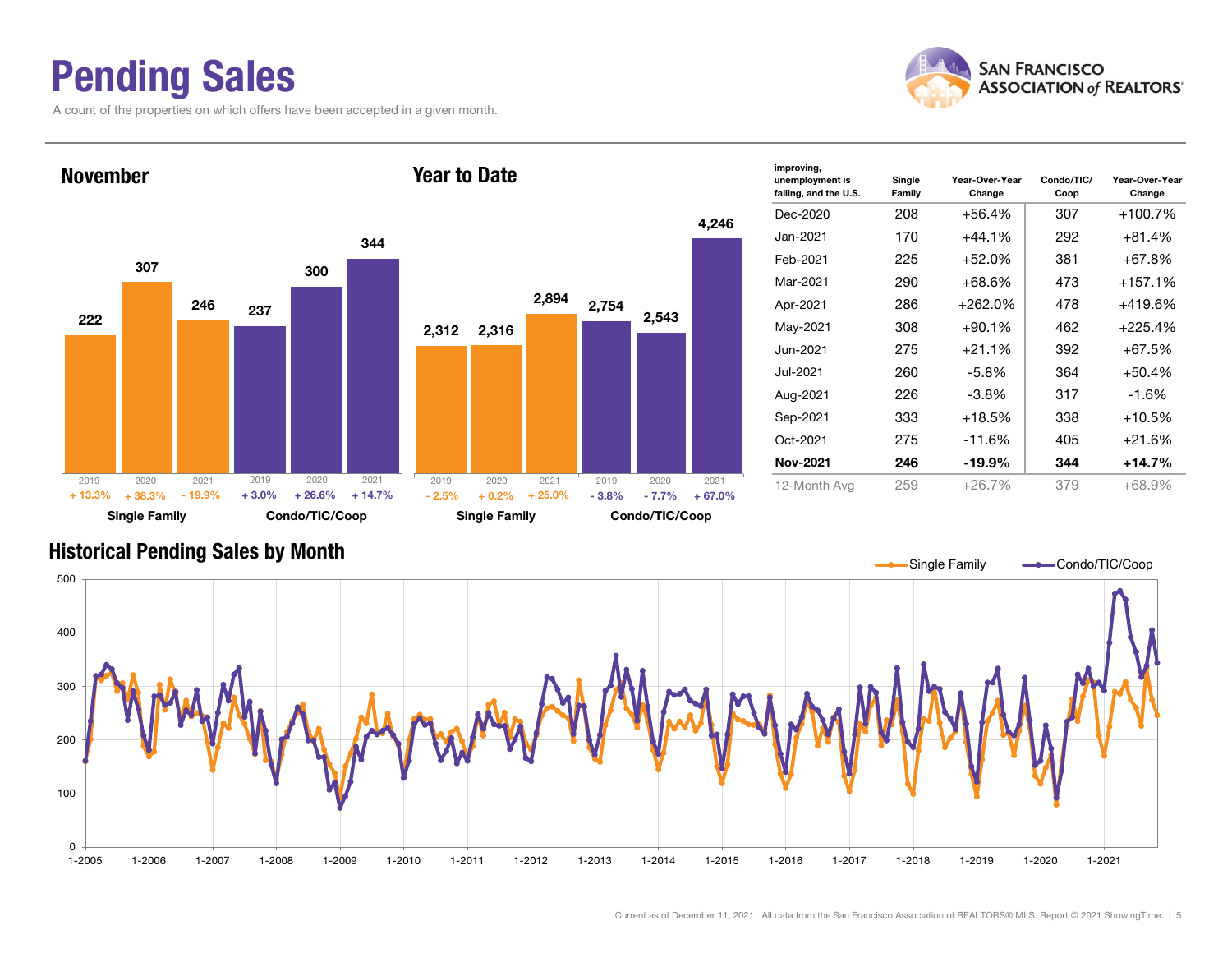### Pending Sales

222

2019

A count of the properties on which offers have been accepted in a given month.





| improving,<br>unemployment is<br>falling, and the U.S. | Single<br>Family | Year-Over-Year<br>Change | Condo/TIC/<br>Coop | Year-Over-Year<br>Change |
|--------------------------------------------------------|------------------|--------------------------|--------------------|--------------------------|
| Dec-2020                                               | 208              | +56.4%                   | 307                | $+100.7%$                |
| Jan-2021                                               | 170              | $+44.1%$                 | 292                | $+81.4%$                 |
| Feb-2021                                               | 225              | $+52.0%$                 | 381                | +67.8%                   |
| Mar-2021                                               | 290              | +68.6%                   | 473                | $+157.1%$                |
| Apr-2021                                               | 286              | $+262.0\%$               | 478                | +419.6%                  |
| May-2021                                               | 308              | $+90.1%$                 | 462                | $+225.4%$                |
| Jun-2021                                               | 275              | $+21.1%$                 | 392                | $+67.5%$                 |
| Jul-2021.                                              | 260              | -5.8%                    | 364                | $+50.4%$                 |
| Aug-2021                                               | 226              | -3.8%                    | 317                | $-1.6%$                  |
| Sep-2021                                               | 333              | $+18.5%$                 | 338                | $+10.5%$                 |
| Oct-2021                                               | 275              | $-11.6%$                 | 405                | $+21.6%$                 |
| <b>Nov-2021</b>                                        | 246              | -19.9%                   | 344                | $+14.7\%$                |
| 12-Month Avg                                           | 259              | $+26.7%$                 | 379                | $+68.9%$                 |

#### Historical Pending Sales by Month

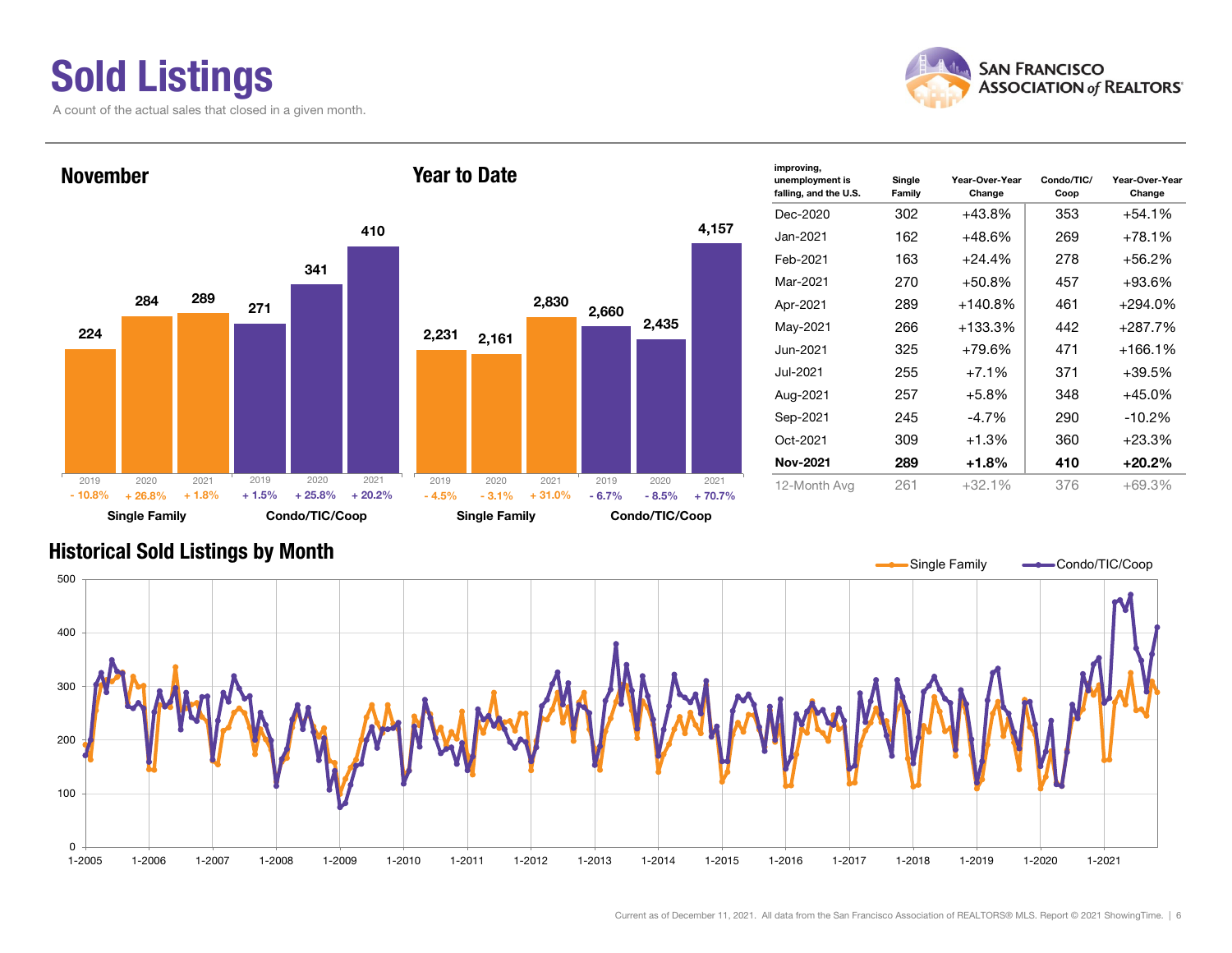# Sold Listings

A count of the actual sales that closed in a given month.





| improving,<br>unemployment is<br>falling, and the U.S. | Single<br>Family | Year-Over-Year<br>Change | Condo/TIC/<br>Coop | Year-Over-Year<br>Change |
|--------------------------------------------------------|------------------|--------------------------|--------------------|--------------------------|
| Dec-2020                                               | 302              | +43.8%                   | 353                | +54.1%                   |
| Jan-2021.                                              | 162              | $+48.6%$                 | 269                | +78.1%                   |
| Feb-2021                                               | 163              | $+24.4%$                 | 278                | +56.2%                   |
| Mar-2021                                               | 270              | $+50.8%$                 | 457                | +93.6%                   |
| Apr-2021                                               | 289              | $+140.8%$                | 461                | +294.0%                  |
| May-2021                                               | 266              | +133.3%                  | 442                | +287.7%                  |
| Jun-2021                                               | 325              | +79.6%                   | 471                | $+166.1%$                |
| Jul-2021.                                              | 255              | $+7.1%$                  | 371                | +39.5%                   |
| Aug-2021                                               | 257              | $+5.8%$                  | 348                | +45.0%                   |
| Sep-2021                                               | 245              | -4.7%                    | 290                | $-10.2%$                 |
| Oct-2021                                               | 309              | $+1.3%$                  | 360                | +23.3%                   |
| Nov-2021                                               | 289              | $+1.8%$                  | 410                | +20.2%                   |
| 12-Month Avg                                           | 261              | $+32.1%$                 | 376                | $+69.3%$                 |

#### Historical Sold Listings by Month

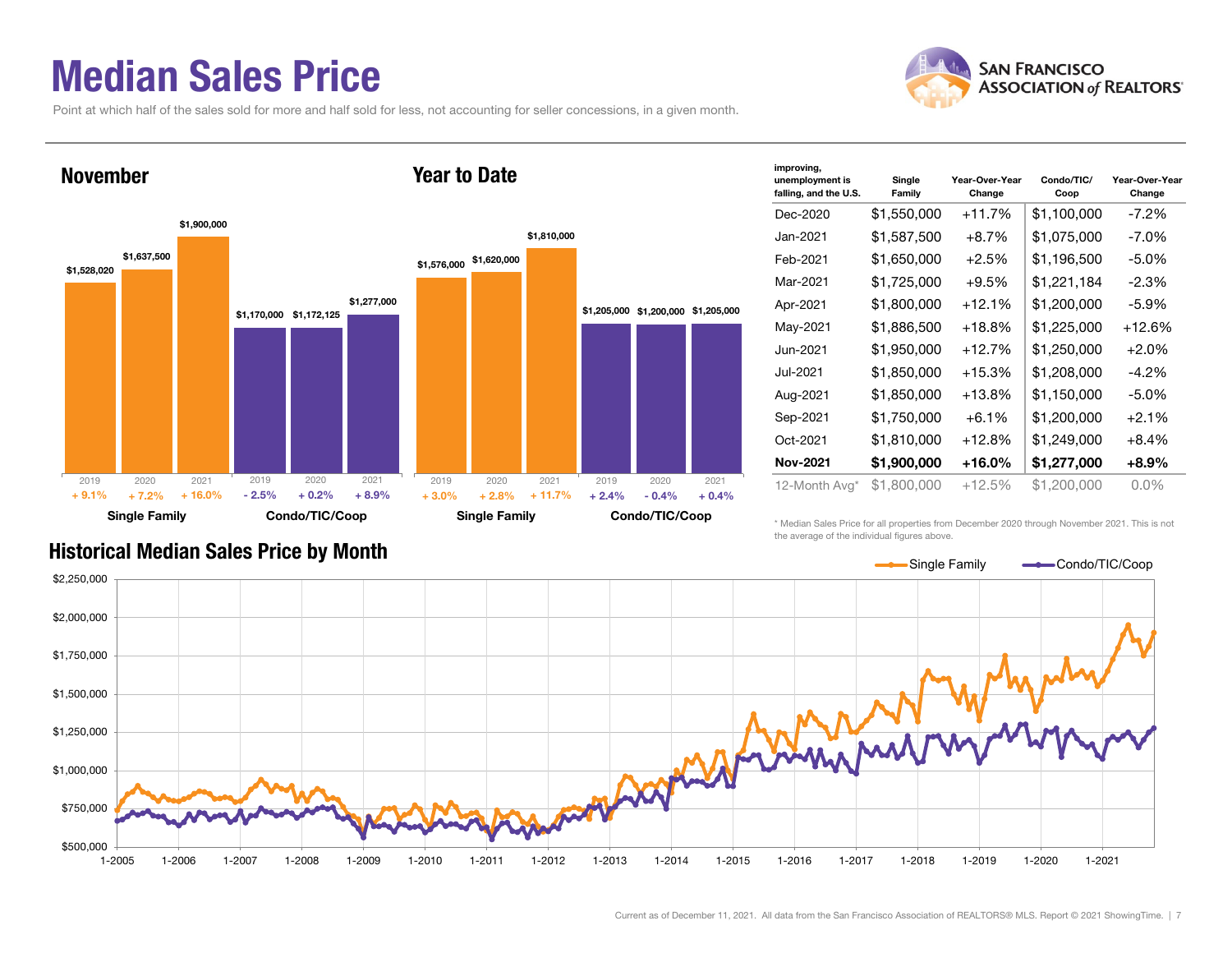### Median Sales Price

Point at which half of the sales sold for more and half sold for less, not accounting for seller concessions, in a given month.



| improving,<br>unemployment is<br>falling, and the U.S. | Single<br>Family | Year-Over-Year<br>Change | Condo/TIC/<br>Coop | Year-Over-Year<br>Change |
|--------------------------------------------------------|------------------|--------------------------|--------------------|--------------------------|
| Dec-2020                                               | \$1,550,000      | $+11.7%$                 | \$1,100,000        | $-7.2%$                  |
| Jan-2021                                               | \$1,587,500      | $+8.7\%$                 | \$1,075,000        | $-7.0\%$                 |
| Feb-2021                                               | \$1,650,000      | $+2.5%$                  | \$1,196,500        | $-5.0\%$                 |
| Mar-2021                                               | \$1,725,000      | $+9.5%$                  | \$1,221,184        | -2.3%                    |
| Apr-2021                                               | \$1,800,000      | $+12.1%$                 | \$1,200,000        | $-5.9\%$                 |
| May-2021                                               | \$1,886,500      | $+18.8\%$                | \$1,225,000        | +12.6%                   |
| Jun-2021                                               | \$1,950,000      | $+12.7%$                 | \$1,250,000        | $+2.0%$                  |
| Jul-2021                                               | \$1,850,000      | $+15.3%$                 | \$1,208,000        | $-4.2\%$                 |
| Aug-2021                                               | \$1,850,000      | $+13.8\%$                | \$1,150,000        | $-5.0\%$                 |
| Sep-2021                                               | \$1,750,000      | $+6.1%$                  | \$1,200,000        | $+2.1%$                  |
| Oct-2021                                               | \$1,810,000      | $+12.8%$                 | \$1,249,000        | $+8.4%$                  |
| Nov-2021                                               | \$1,900,000      | +16.0%                   | \$1,277,000        | $+8.9\%$                 |
| 12-Month Avg*                                          | \$1,800,000      | +12.5%                   | \$1,200,000        | $0.0\%$                  |

#### Historical Median Sales Price by Month

\* Median Sales Price for all properties from December 2020 through November 2021. This is not the average of the individual figures above.



| <b>KILL SAN FRANCISCO</b><br><b>ASSOCIATION of REALTORS'</b> |
|--------------------------------------------------------------|
|                                                              |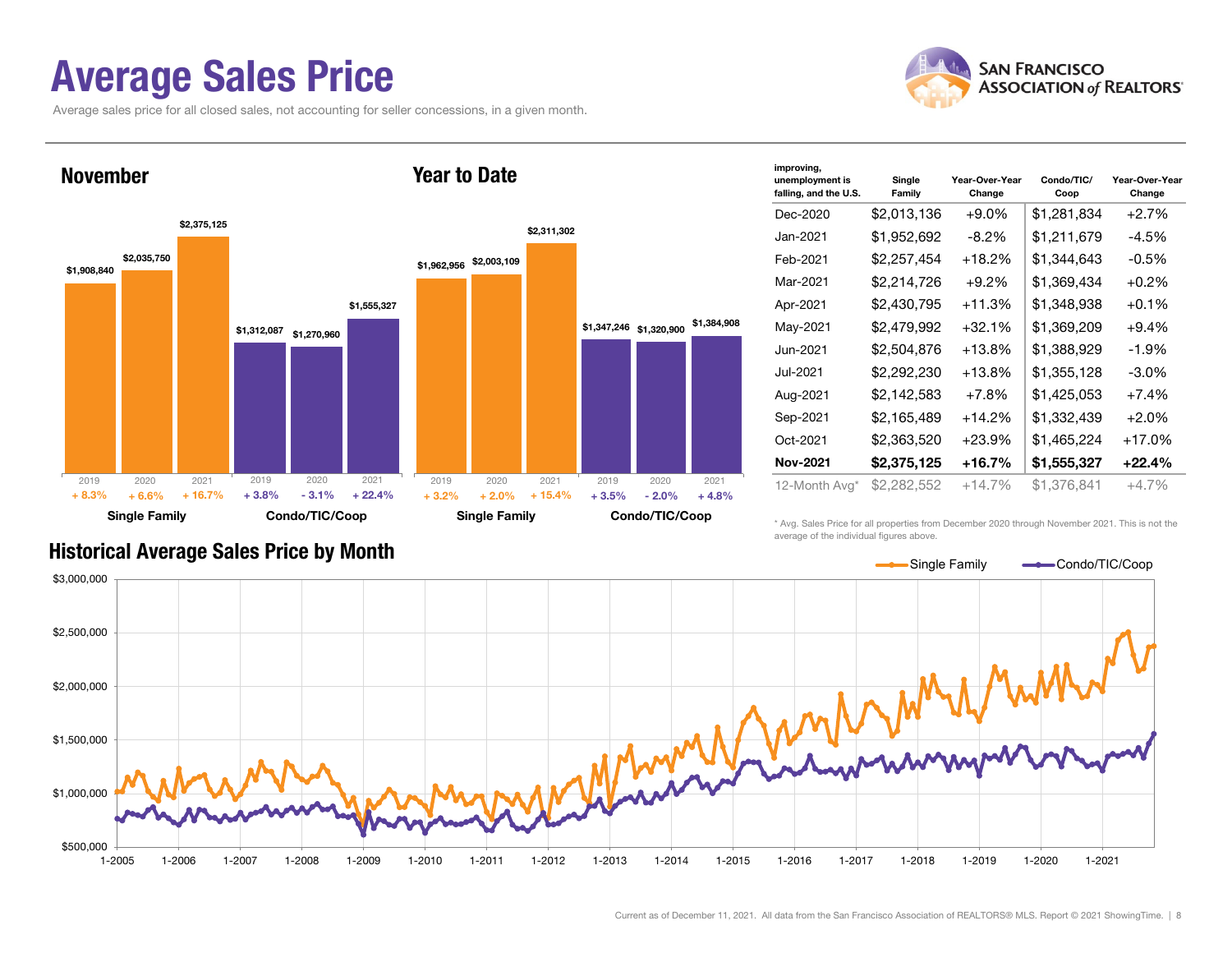### Average Sales Price

Average sales price for all closed sales, not accounting for seller concessions, in a given month.





| improving,<br>unemployment is<br>falling, and the U.S. | Single<br>Family | Year-Over-Year<br>Change | Condo/TIC/<br>Coop | Year-Over-Year<br>Change |
|--------------------------------------------------------|------------------|--------------------------|--------------------|--------------------------|
| Dec-2020                                               | \$2,013,136      | $+9.0\%$                 | \$1,281,834        | $+2.7%$                  |
| Jan-2021                                               | \$1,952,692      | $-8.2\%$                 | \$1,211,679        | $-4.5%$                  |
| Feb-2021                                               | \$2.257.454      | $+18.2%$                 | \$1,344,643        | $-0.5%$                  |
| Mar-2021                                               | \$2,214,726      | $+9.2\%$                 | \$1,369,434        | $+0.2%$                  |
| Apr-2021                                               | \$2,430,795      | $+11.3%$                 | \$1,348,938        | $+0.1%$                  |
| May-2021                                               | \$2,479,992      | $+32.1%$                 | \$1,369,209        | $+9.4%$                  |
| Jun-2021                                               | \$2,504,876      | $+13.8%$                 | \$1,388,929        | $-1.9%$                  |
| Jul-2021                                               | \$2,292,230      | $+13.8\%$                | \$1,355,128        | $-3.0\%$                 |
| Aug-2021                                               | \$2,142,583      | $+7.8%$                  | \$1,425,053        | $+7.4%$                  |
| Sep-2021                                               | \$2,165,489      | $+14.2%$                 | \$1,332,439        | $+2.0%$                  |
| Oct-2021                                               | \$2,363,520      | $+23.9%$                 | \$1,465,224        | +17.0%                   |
| Nov-2021                                               | \$2,375,125      | +16.7%                   | \$1,555,327        | $+22.4%$                 |
| 12-Month Avg*                                          | \$2,282,552      | $+14.7%$                 | \$1,376,841        | $+4.7%$                  |

\* Avg. Sales Price for all properties from December 2020 through November 2021. This is not the average of the individual figures above.



#### Historical Average Sales Price by Month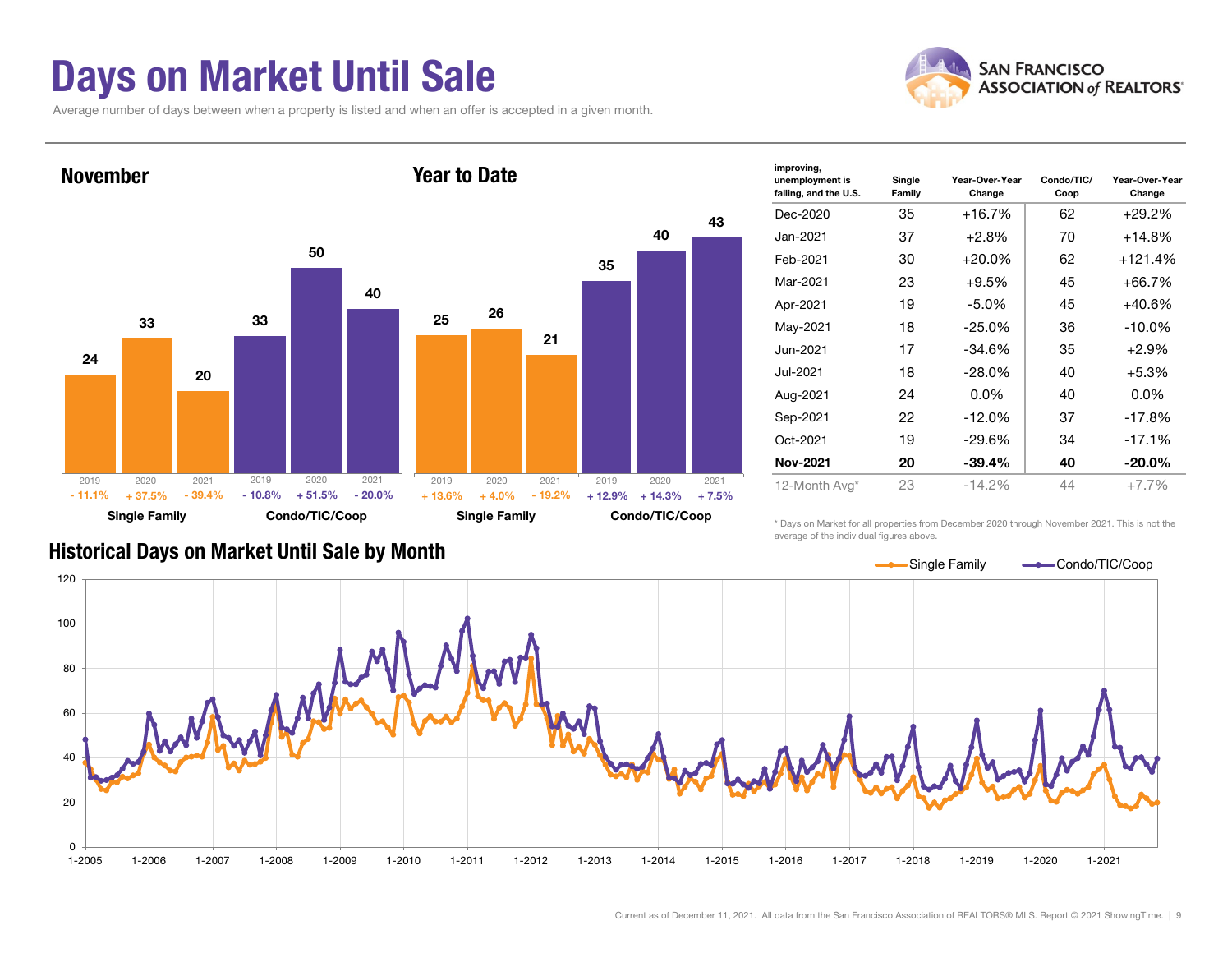### Days on Market Until Sale

Average number of days between when a property is listed and when an offer is accepted in a given month.





| improving,<br>unemployment is<br>falling, and the U.S. | Single<br>Family | Year-Over-Year<br>Change | Condo/TIC/<br>Coop | Year-Over-Year<br>Change |
|--------------------------------------------------------|------------------|--------------------------|--------------------|--------------------------|
| Dec-2020                                               | 35               | $+16.7%$                 | 62                 | $+29.2\%$                |
| Jan-2021                                               | 37               | $+2.8%$                  | 70                 | +14.8%                   |
| Feb-2021                                               | 30               | $+20.0%$                 | 62                 | +121.4%                  |
| Mar-2021                                               | 23               | $+9.5%$                  | 45                 | +66.7%                   |
| Apr-2021                                               | 19               | $-5.0\%$                 | 45                 | +40.6%                   |
| May-2021                                               | 18               | $-25.0\%$                | 36                 | $-10.0\%$                |
| Jun-2021                                               | 17               | $-34.6%$                 | 35                 | $+2.9%$                  |
| Jul-2021                                               | 18               | $-28.0\%$                | 40                 | $+5.3%$                  |
| Aug-2021                                               | 24               | $0.0\%$                  | 40                 | $0.0\%$                  |
| Sep-2021                                               | 22               | $-12.0%$                 | 37                 | $-17.8%$                 |
| Oct-2021                                               | 19               | $-29.6%$                 | 34                 | $-17.1%$                 |
| <b>Nov-2021</b>                                        | 20               | $-39.4%$                 | 40                 | $-20.0\%$                |
| 12-Month Avg*                                          | 23               | $-14.2%$                 | 44                 | $+7.7%$                  |

\* Days on Market for all properties from December 2020 through November 2021. This is not the average of the individual figures above.



#### Historical Days on Market Until Sale by Month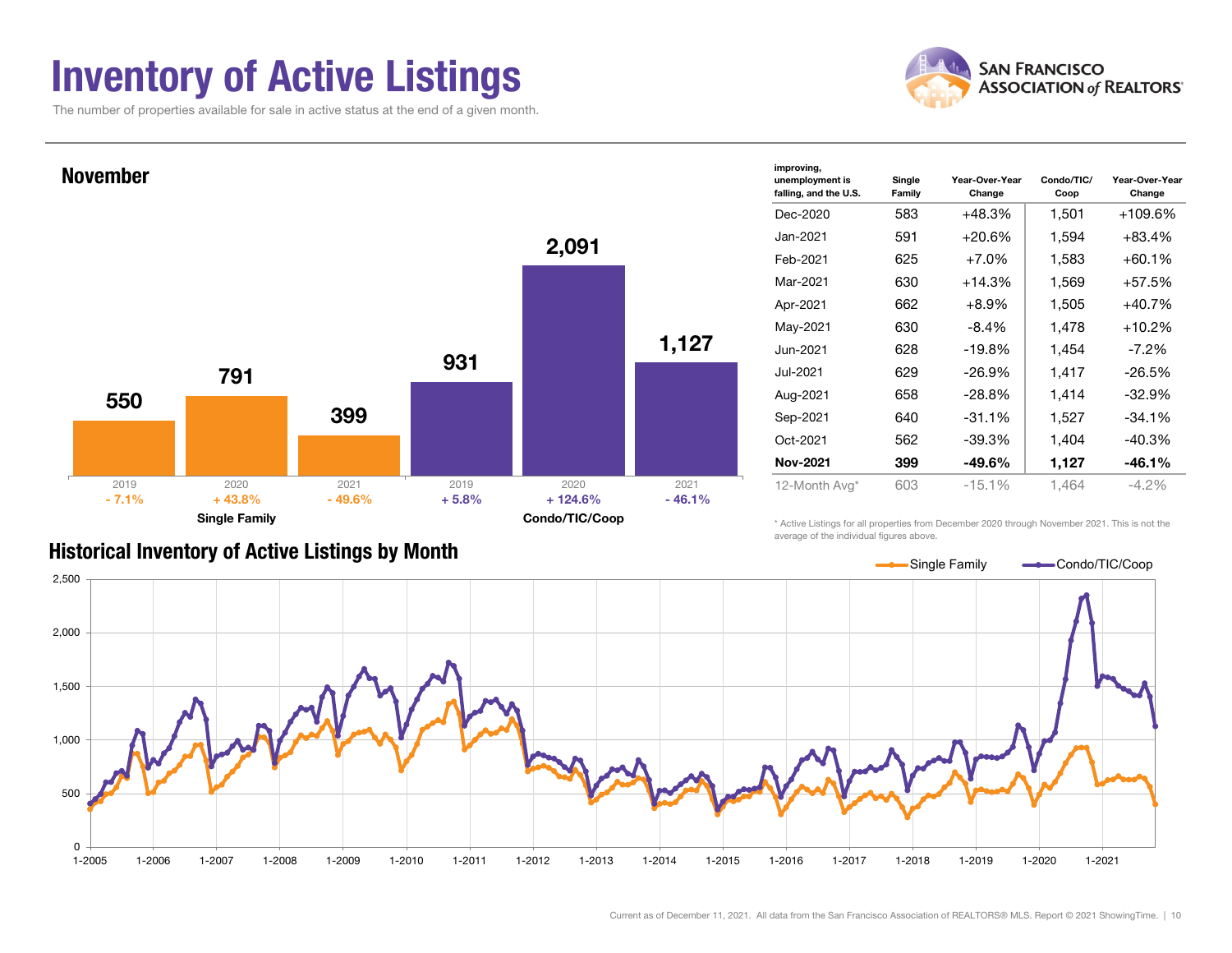### Inventory of Active Listings

The number of properties available for sale in active status at the end of a given month.





#### Historical Inventory of Active Listings by Month

average of the individual figures above.

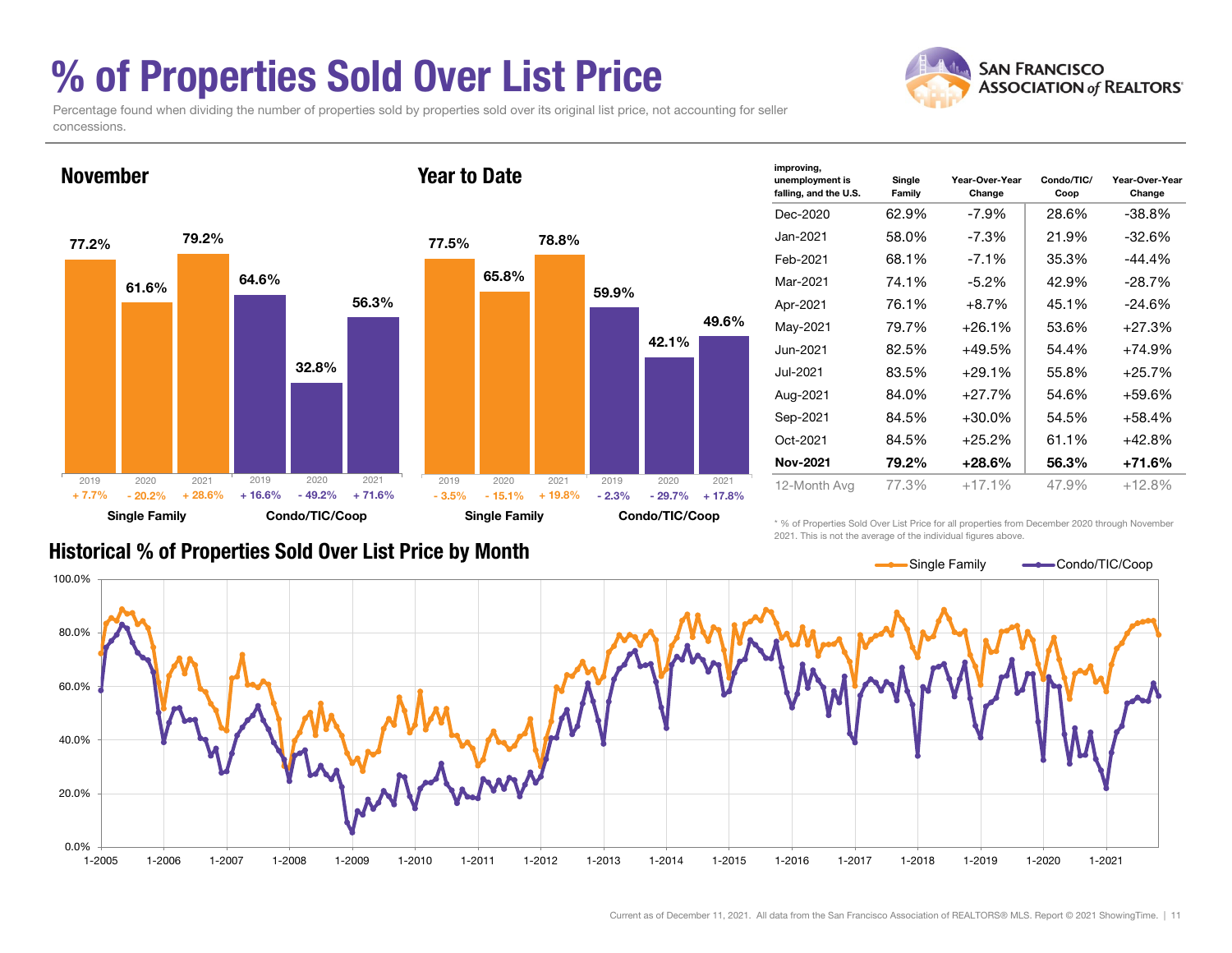### % of Properties Sold Over List Price

**SAN FRANCISCO ASSOCIATION of REALTORS'** 

Percentage found when dividing the number of properties sold by properties sold over its original list price, not accounting for seller concessions.



| improving,<br>unemployment is | Single | Year-Over-Year | Condo/TIC/ | Year-Over-Year |
|-------------------------------|--------|----------------|------------|----------------|
| falling, and the U.S.         | Family | Change         | Coop       | Change         |
| Dec-2020                      | 62.9%  | -7.9%          | 28.6%      | $-38.8%$       |
| Jan-2021.                     | 58.0%  | -7.3%          | 21.9%      | $-32.6%$       |
| Feb-2021                      | 68.1%  | $-7.1\%$       | 35.3%      | -44.4%         |
| Mar-2021                      | 74.1%  | $-5.2\%$       | 42.9%      | $-28.7%$       |
| Apr-2021                      | 76.1%  | $+8.7%$        | 45.1%      | $-24.6%$       |
| May-2021                      | 79.7%  | $+26.1%$       | 53.6%      | +27.3%         |
| Jun-2021                      | 82.5%  | $+49.5%$       | 54.4%      | $+74.9%$       |
| Jul-2021                      | 83.5%  | $+29.1%$       | 55.8%      | +25.7%         |
| Aug-2021                      | 84.0%  | $+27.7%$       | 54.6%      | +59.6%         |
| Sep-2021                      | 84.5%  | $+30.0\%$      | 54.5%      | +58.4%         |
| Oct-2021                      | 84.5%  | $+25.2%$       | 61.1%      | +42.8%         |
| Nov-2021                      | 79.2%  | +28.6%         | 56.3%      | +71.6%         |
| 12-Month Avg                  | 77.3%  | $+17.1%$       | 47.9%      | +12.8%         |

#### Historical % of Properties Sold Over List Price by Month

\* % of Properties Sold Over List Price for all properties from December 2020 through November 2021. This is not the average of the individual figures above.

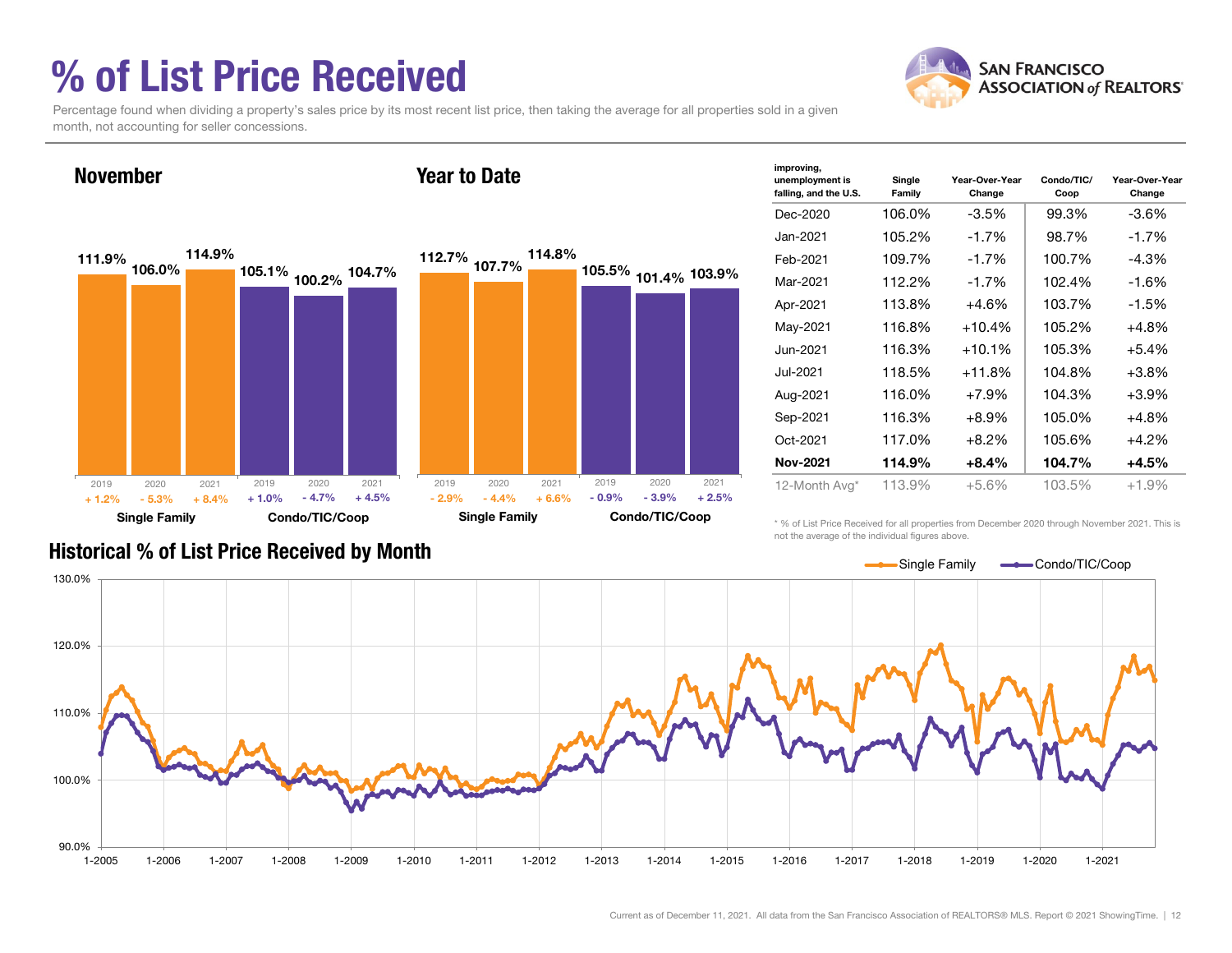### % of List Price Received



Percentage found when dividing a property's sales price by its most recent list price, then taking the average for all properties sold in a given month, not accounting for seller concessions.



| improving,<br>unemployment is<br>falling, and the U.S. | Single<br>Family | Year-Over-Year<br>Change | Condo/TIC/<br>Coop | Year-Over-Year<br>Change |
|--------------------------------------------------------|------------------|--------------------------|--------------------|--------------------------|
| Dec-2020                                               | 106.0%           | $-3.5%$                  | 99.3%              | $-3.6\%$                 |
| Jan-2021                                               | 105.2%           | $-1.7%$                  | 98.7%              | $-1.7%$                  |
| Feb-2021                                               | 109.7%           | $-1.7%$                  | 100.7%             | -4.3%                    |
| Mar-2021                                               | 112.2%           | $-1.7%$                  | 102.4%             | $-1.6%$                  |
| Apr-2021                                               | 113.8%           | $+4.6%$                  | 103.7%             | $-1.5%$                  |
| May-2021                                               | 116.8%           | $+10.4%$                 | 105.2%             | $+4.8%$                  |
| Jun-2021                                               | 116.3%           | $+10.1%$                 | 105.3%             | $+5.4%$                  |
| Jul-2021                                               | 118.5%           | $+11.8%$                 | 104.8%             | $+3.8%$                  |
| Aug-2021                                               | 116.0%           | $+7.9%$                  | 104.3%             | $+3.9%$                  |
| Sep-2021                                               | 116.3%           | $+8.9%$                  | 105.0%             | $+4.8%$                  |
| Oct-2021                                               | 117.0%           | $+8.2%$                  | 105.6%             | $+4.2%$                  |
| <b>Nov-2021</b>                                        | 114.9%           | $+8.4\%$                 | 104.7%             | $+4.5%$                  |
| 12-Month Avg*                                          | 113.9%           | $+5.6%$                  | 103.5%             | $+1.9%$                  |

Historical % of List Price Received by Month

\* % of List Price Received for all properties from December 2020 through November 2021. This is not the average of the individual figures above.

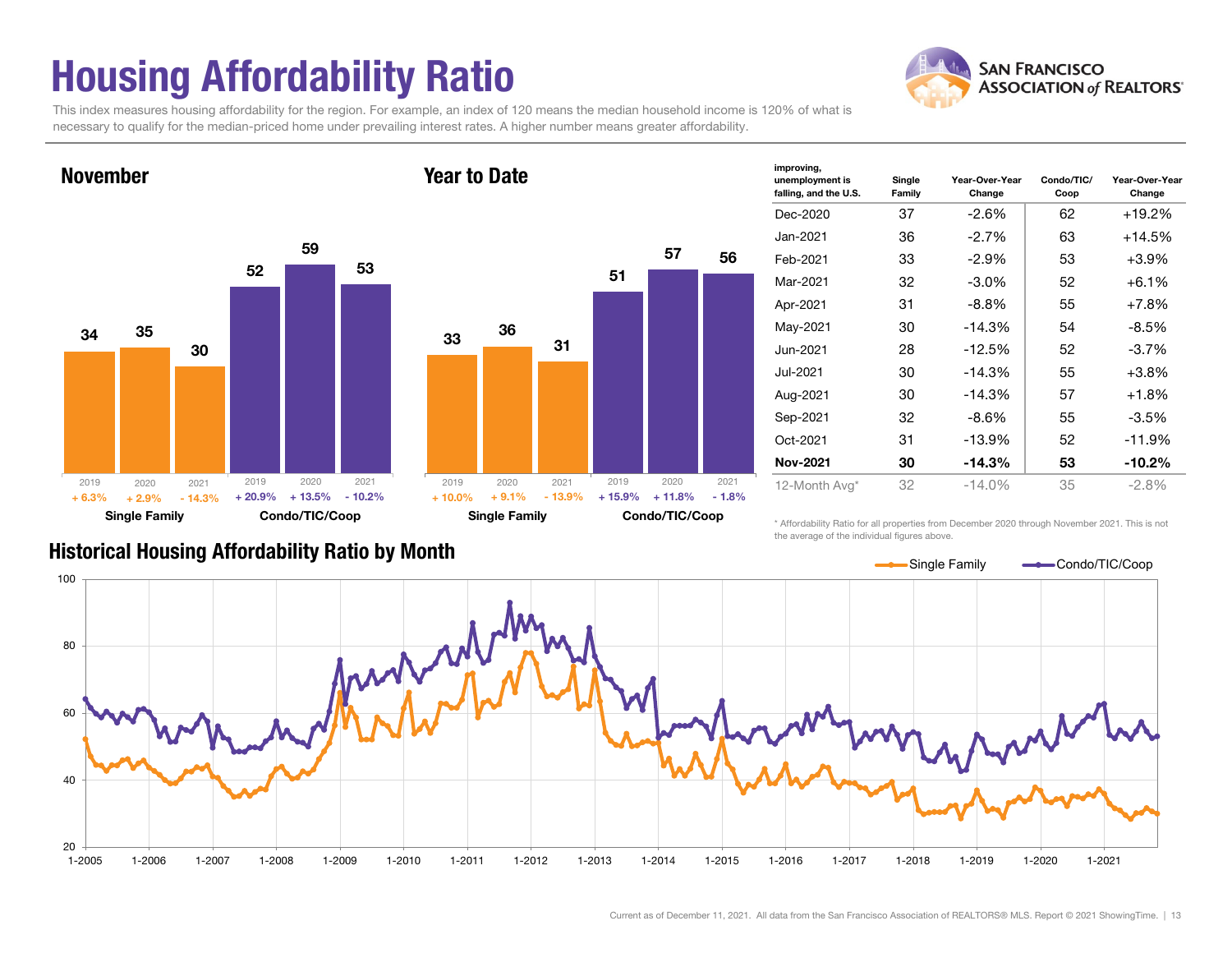### Housing Affordability Ratio

**SAN FRANCISCO ASSOCIATION of REALTORS'** 

This index measures housing affordability for the region. For example, an index of 120 means the median household income is 120% of what is necessary to qualify for the median-priced home under prevailing interest rates. A higher number means greater affordability.



| improving,<br>unemployment is<br>falling, and the U.S. | Single<br>Family | Year-Over-Year<br>Change | Condo/TIC/<br>Coop | Year-Over-Year<br>Change |
|--------------------------------------------------------|------------------|--------------------------|--------------------|--------------------------|
| Dec-2020                                               | 37               | -2.6%                    | 62                 | +19.2%                   |
| Jan-2021                                               | 36               | $-2.7%$                  | 63                 | +14.5%                   |
| Feb-2021                                               | 33               | -2.9%                    | 53                 | $+3.9\%$                 |
| Mar-2021                                               | 32               | $-3.0\%$                 | 52                 | $+6.1%$                  |
| Apr-2021                                               | 31               | $-8.8\%$                 | 55                 | $+7.8%$                  |
| May-2021                                               | 30               | $-14.3%$                 | 54                 | $-8.5%$                  |
| Jun-2021                                               | 28               | $-12.5%$                 | 52                 | $-3.7\%$                 |
| Jul-2021                                               | 30               | $-14.3%$                 | 55                 | $+3.8%$                  |
| Aug-2021                                               | 30               | $-14.3%$                 | 57                 | $+1.8%$                  |
| Sep-2021                                               | 32               | -8.6%                    | 55                 | $-3.5\%$                 |
| Oct-2021                                               | 31               | $-13.9%$                 | 52                 | $-11.9%$                 |
| <b>Nov-2021</b>                                        | 30               | -14.3%                   | 53                 | $-10.2\%$                |
| 12-Month Avg*                                          | 32               | $-14.0%$                 | 35                 | $-2.8%$                  |

Historical Housing Affordability Ratio by Month

\* Affordability Ratio for all properties from December 2020 through November 2021. This is not the average of the individual figures above.



51

2019

57

2020 2021

56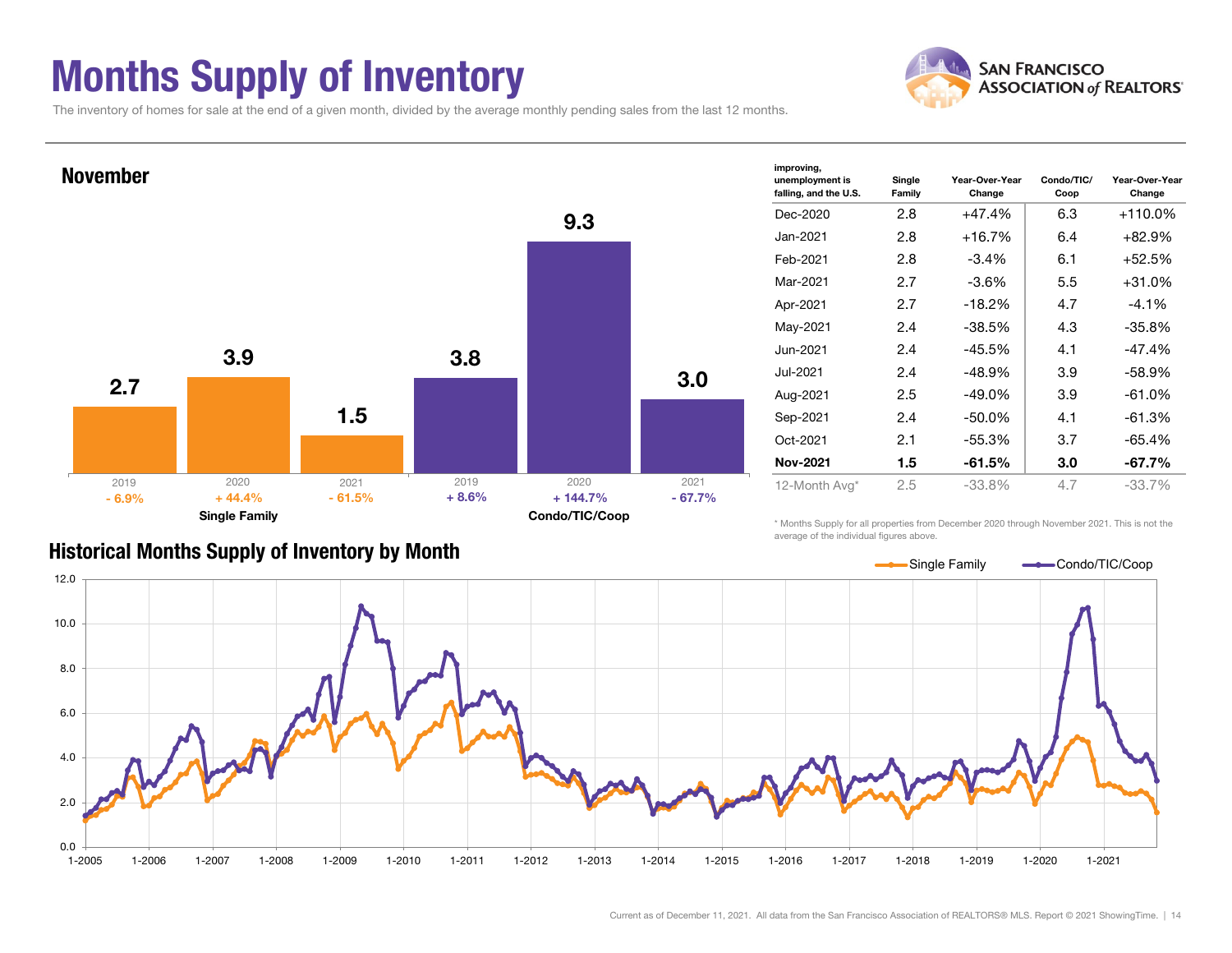### Months Supply of Inventory



The inventory of homes for sale at the end of a given month, divided by the average monthly pending sales from the last 12 months.



| improving,<br>unemployment is<br>falling, and the U.S. | Single<br>Family | Year-Over-Year<br>Change | Condo/TIC/<br>Coop | Year-Over-Year<br>Change |  |  |  |
|--------------------------------------------------------|------------------|--------------------------|--------------------|--------------------------|--|--|--|
| Dec-2020                                               | 2.8              | $+47.4%$                 | 6.3                | +110.0%                  |  |  |  |
| Jan-2021                                               | 2.8              | $+16.7%$                 | 6.4                | $+82.9%$                 |  |  |  |
| Feb-2021                                               | 2.8              | $-3.4\%$                 | 6.1                | $+52.5%$                 |  |  |  |
| Mar-2021                                               | 2.7              | $-3.6\%$                 | 5.5                | $+31.0%$                 |  |  |  |
| Apr-2021                                               | 2.7              | $-18.2%$                 | 4.7                | $-4.1\%$                 |  |  |  |
| May-2021                                               | 2.4              | $-38.5%$                 | 4.3                | $-35.8%$                 |  |  |  |
| Jun-2021                                               | 2.4              | $-45.5%$                 | 4.1                | $-47.4%$                 |  |  |  |
| Jul-2021                                               | 2.4              | $-48.9%$                 | 3.9                | $-58.9%$                 |  |  |  |
| Aug-2021                                               | 2.5              | $-49.0\%$                | 3.9                | $-61.0%$                 |  |  |  |
| Sep-2021                                               | 2.4              | $-50.0\%$                | 4.1                | $-61.3%$                 |  |  |  |
| Oct-2021                                               | 2.1              | $-55.3%$                 | 3.7                | $-65.4%$                 |  |  |  |
| <b>Nov-2021</b>                                        | 1.5              | $-61.5%$                 | 3.0                | -67.7%                   |  |  |  |
| 12-Month Avg*                                          | 2.5              | $-33.8%$                 | 4.7                | $-33.7%$                 |  |  |  |

Historical Months Supply of Inventory by Month

\* Months Supply for all properties from December 2020 through November 2021. This is not the average of the individual figures above.

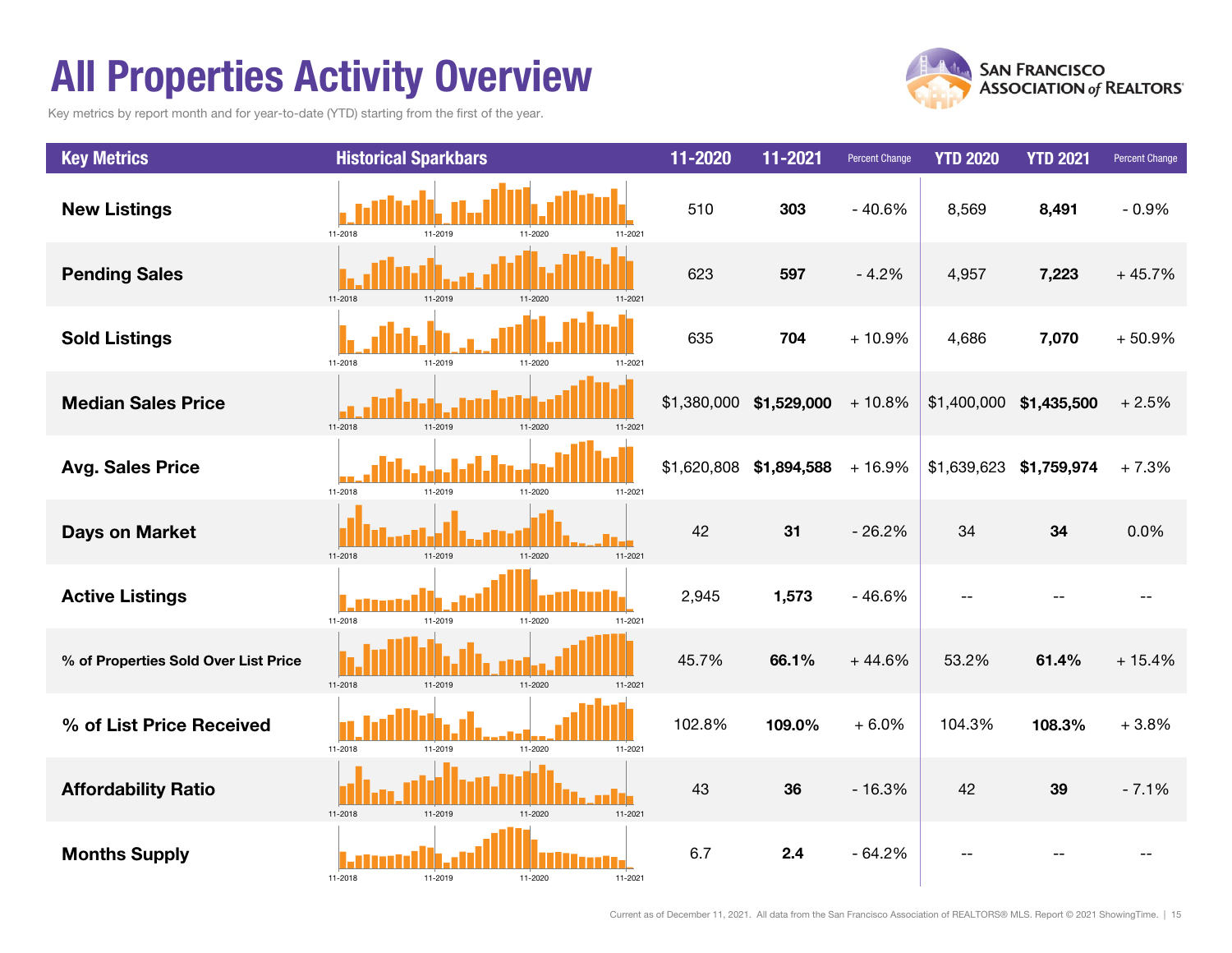### All Properties Activity Overview

Key metrics by report month and for year-to-date (YTD) starting from the first of the year.